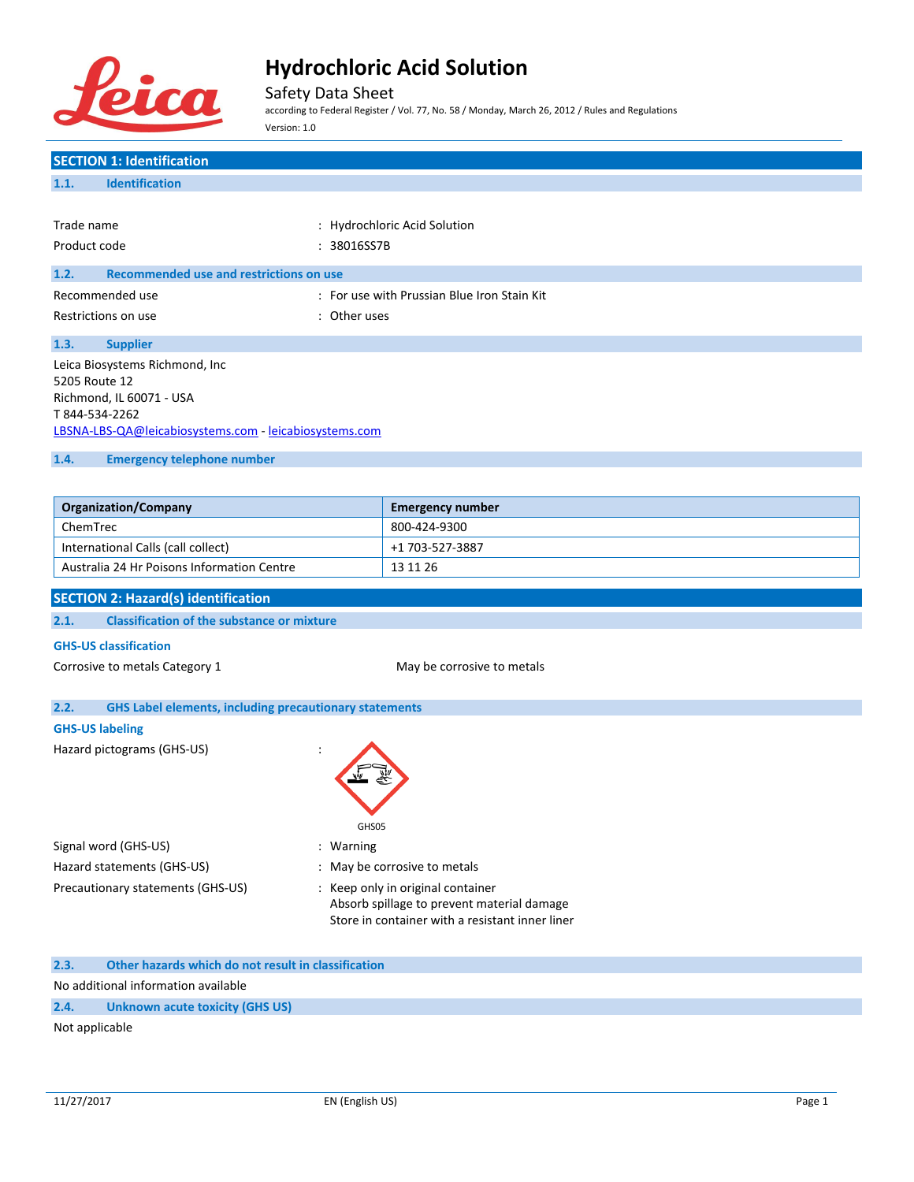

Safety Data Sheet

according to Federal Register / Vol. 77, No. 58 / Monday, March 26, 2012 / Rules and Regulations Version: 1.0

| <b>SECTION 1: Identification</b>                                      |                                                 |  |  |
|-----------------------------------------------------------------------|-------------------------------------------------|--|--|
| <b>Identification</b><br>1.1.                                         |                                                 |  |  |
|                                                                       |                                                 |  |  |
| Trade name<br>: Hydrochloric Acid Solution                            |                                                 |  |  |
| Product code<br>: 38016SS7B                                           |                                                 |  |  |
| <b>Recommended use and restrictions on use</b><br>1.2.                |                                                 |  |  |
| Recommended use                                                       | : For use with Prussian Blue Iron Stain Kit     |  |  |
| Restrictions on use<br>: Other uses                                   |                                                 |  |  |
| 1.3.<br><b>Supplier</b>                                               |                                                 |  |  |
| Leica Biosystems Richmond, Inc                                        |                                                 |  |  |
| 5205 Route 12<br>Richmond, IL 60071 - USA                             |                                                 |  |  |
| T 844-534-2262                                                        |                                                 |  |  |
| LBSNA-LBS-QA@leicabiosystems.com - leicabiosystems.com                |                                                 |  |  |
| 1.4.<br><b>Emergency telephone number</b>                             |                                                 |  |  |
|                                                                       |                                                 |  |  |
| <b>Organization/Company</b>                                           | <b>Emergency number</b>                         |  |  |
| ChemTrec                                                              | 800-424-9300                                    |  |  |
| International Calls (call collect)                                    | +1 703-527-3887                                 |  |  |
| Australia 24 Hr Poisons Information Centre                            | 13 11 26                                        |  |  |
|                                                                       |                                                 |  |  |
| <b>SECTION 2: Hazard(s) identification</b>                            |                                                 |  |  |
| <b>Classification of the substance or mixture</b><br>2.1.             |                                                 |  |  |
| <b>GHS-US classification</b>                                          |                                                 |  |  |
| Corrosive to metals Category 1                                        | May be corrosive to metals                      |  |  |
|                                                                       |                                                 |  |  |
| <b>GHS Label elements, including precautionary statements</b><br>2.2. |                                                 |  |  |
| <b>GHS-US labeling</b>                                                |                                                 |  |  |
| Hazard pictograms (GHS-US)                                            |                                                 |  |  |
|                                                                       |                                                 |  |  |
|                                                                       |                                                 |  |  |
| GHS05                                                                 |                                                 |  |  |
| Signal word (GHS-US)<br>: Warning                                     |                                                 |  |  |
| Hazard statements (GHS-US)                                            | : May be corrosive to metals                    |  |  |
| Precautionary statements (GHS-US)                                     | : Keep only in original container               |  |  |
|                                                                       | Absorb spillage to prevent material damage      |  |  |
|                                                                       | Store in container with a resistant inner liner |  |  |
| 2.3.<br>Other hazards which do not result in classification           |                                                 |  |  |
| No additional information available                                   |                                                 |  |  |

Not applicable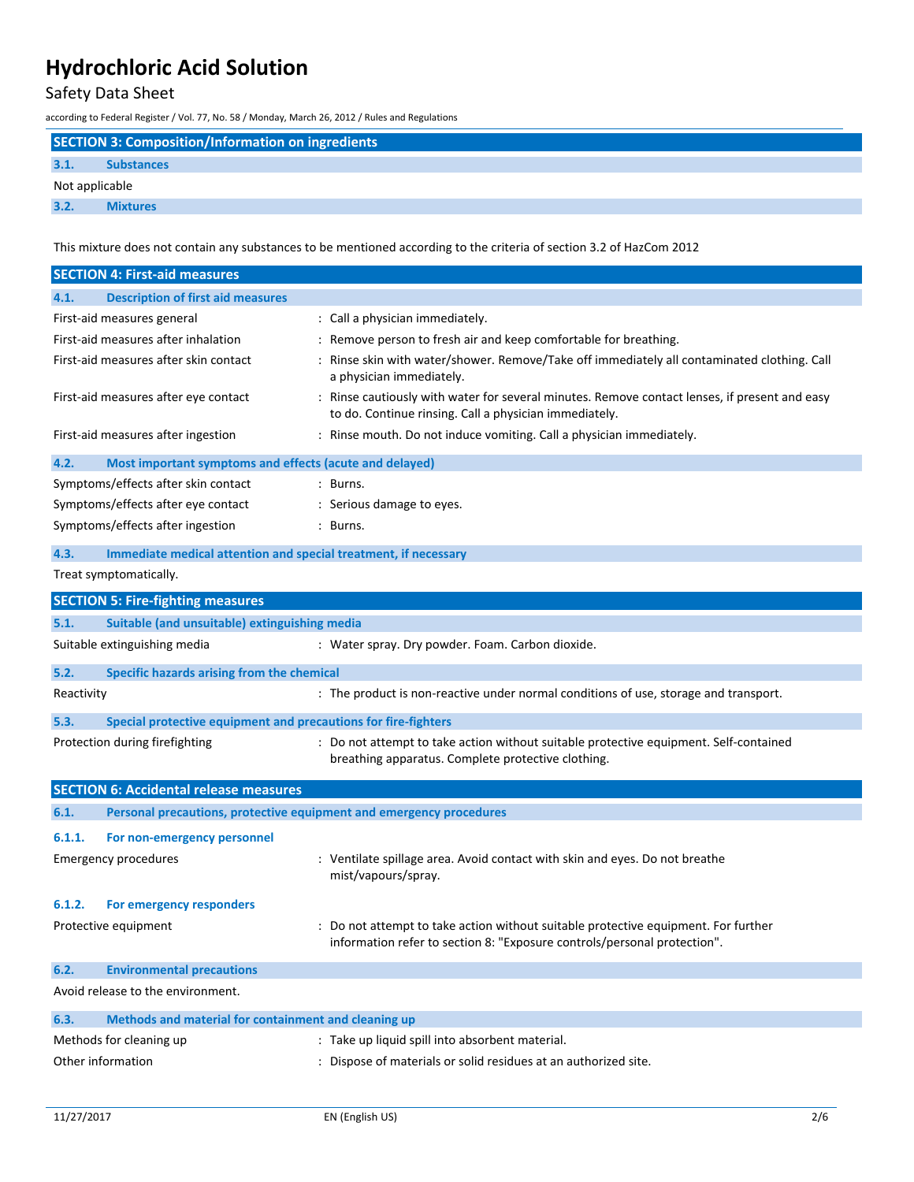## Safety Data Sheet

according to Federal Register / Vol. 77, No. 58 / Monday, March 26, 2012 / Rules and Regulations

| <b>SECTION 3: Composition/Information on ingredients</b> |                                                                                                                      |  |
|----------------------------------------------------------|----------------------------------------------------------------------------------------------------------------------|--|
| 3.1.                                                     | <b>Substances</b>                                                                                                    |  |
|                                                          | Not applicable                                                                                                       |  |
| 3.2.                                                     | <b>Mixtures</b>                                                                                                      |  |
|                                                          | This mixture does not contain any substances to be mentioned according to the criteria of section 3.2 of HazCom 2012 |  |

|                                                                                                                                                                               | <b>SECTION 4: First-aid measures</b>                                |                                                                                                                                                              |  |
|-------------------------------------------------------------------------------------------------------------------------------------------------------------------------------|---------------------------------------------------------------------|--------------------------------------------------------------------------------------------------------------------------------------------------------------|--|
| 4.1.                                                                                                                                                                          | <b>Description of first aid measures</b>                            |                                                                                                                                                              |  |
|                                                                                                                                                                               | First-aid measures general                                          | : Call a physician immediately.                                                                                                                              |  |
| First-aid measures after inhalation                                                                                                                                           |                                                                     | : Remove person to fresh air and keep comfortable for breathing.                                                                                             |  |
| First-aid measures after skin contact                                                                                                                                         |                                                                     | : Rinse skin with water/shower. Remove/Take off immediately all contaminated clothing. Call<br>a physician immediately.                                      |  |
| First-aid measures after eye contact                                                                                                                                          |                                                                     | : Rinse cautiously with water for several minutes. Remove contact lenses, if present and easy<br>to do. Continue rinsing. Call a physician immediately.      |  |
| First-aid measures after ingestion<br>: Rinse mouth. Do not induce vomiting. Call a physician immediately.                                                                    |                                                                     |                                                                                                                                                              |  |
| 4.2.                                                                                                                                                                          | Most important symptoms and effects (acute and delayed)             |                                                                                                                                                              |  |
|                                                                                                                                                                               | Symptoms/effects after skin contact                                 | : Burns.                                                                                                                                                     |  |
|                                                                                                                                                                               | Symptoms/effects after eye contact                                  | : Serious damage to eyes.                                                                                                                                    |  |
|                                                                                                                                                                               | Symptoms/effects after ingestion                                    | : Burns.                                                                                                                                                     |  |
| 4.3.                                                                                                                                                                          | Immediate medical attention and special treatment, if necessary     |                                                                                                                                                              |  |
|                                                                                                                                                                               | Treat symptomatically.                                              |                                                                                                                                                              |  |
|                                                                                                                                                                               | <b>SECTION 5: Fire-fighting measures</b>                            |                                                                                                                                                              |  |
| 5.1.                                                                                                                                                                          | Suitable (and unsuitable) extinguishing media                       |                                                                                                                                                              |  |
|                                                                                                                                                                               | Suitable extinguishing media                                        | : Water spray. Dry powder. Foam. Carbon dioxide.                                                                                                             |  |
| 5.2.                                                                                                                                                                          | Specific hazards arising from the chemical                          |                                                                                                                                                              |  |
| Reactivity                                                                                                                                                                    |                                                                     | : The product is non-reactive under normal conditions of use, storage and transport.                                                                         |  |
|                                                                                                                                                                               |                                                                     |                                                                                                                                                              |  |
| 5.3.                                                                                                                                                                          | Special protective equipment and precautions for fire-fighters      |                                                                                                                                                              |  |
| : Do not attempt to take action without suitable protective equipment. Self-contained<br>Protection during firefighting<br>breathing apparatus. Complete protective clothing. |                                                                     |                                                                                                                                                              |  |
| <b>SECTION 6: Accidental release measures</b>                                                                                                                                 |                                                                     |                                                                                                                                                              |  |
| 6.1.                                                                                                                                                                          | Personal precautions, protective equipment and emergency procedures |                                                                                                                                                              |  |
| 6.1.1.                                                                                                                                                                        | For non-emergency personnel                                         |                                                                                                                                                              |  |
|                                                                                                                                                                               | <b>Emergency procedures</b>                                         | : Ventilate spillage area. Avoid contact with skin and eyes. Do not breathe<br>mist/vapours/spray.                                                           |  |
| 6.1.2.                                                                                                                                                                        | For emergency responders                                            |                                                                                                                                                              |  |
|                                                                                                                                                                               | Protective equipment                                                | Do not attempt to take action without suitable protective equipment. For further<br>information refer to section 8: "Exposure controls/personal protection". |  |
| 6.2.                                                                                                                                                                          | <b>Environmental precautions</b>                                    |                                                                                                                                                              |  |
| Avoid release to the environment.                                                                                                                                             |                                                                     |                                                                                                                                                              |  |
| 6.3.                                                                                                                                                                          | Methods and material for containment and cleaning up                |                                                                                                                                                              |  |
| : Take up liquid spill into absorbent material.<br>Methods for cleaning up                                                                                                    |                                                                     |                                                                                                                                                              |  |
|                                                                                                                                                                               | Other information                                                   | : Dispose of materials or solid residues at an authorized site.                                                                                              |  |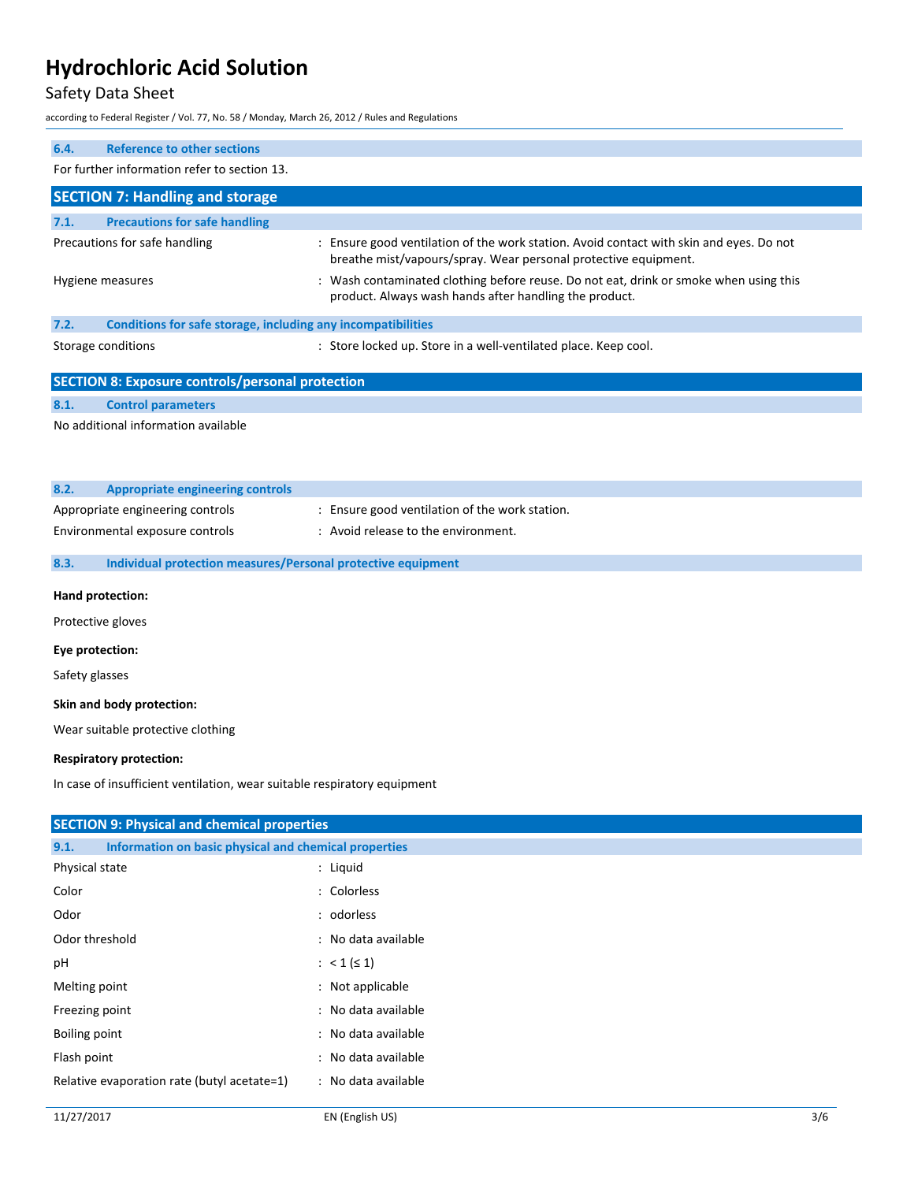## Safety Data Sheet

according to Federal Register / Vol. 77, No. 58 / Monday, March 26, 2012 / Rules and Regulations

| 6.4.                   | <b>Reference to other sections</b>                                       |                                                                                                                                                            |  |
|------------------------|--------------------------------------------------------------------------|------------------------------------------------------------------------------------------------------------------------------------------------------------|--|
|                        | For further information refer to section 13.                             |                                                                                                                                                            |  |
|                        | <b>SECTION 7: Handling and storage</b>                                   |                                                                                                                                                            |  |
| 7.1.                   | <b>Precautions for safe handling</b>                                     |                                                                                                                                                            |  |
|                        | Precautions for safe handling                                            | : Ensure good ventilation of the work station. Avoid contact with skin and eyes. Do not<br>breathe mist/vapours/spray. Wear personal protective equipment. |  |
|                        | Hygiene measures                                                         | : Wash contaminated clothing before reuse. Do not eat, drink or smoke when using this<br>product. Always wash hands after handling the product.            |  |
| 7.2.                   | Conditions for safe storage, including any incompatibilities             |                                                                                                                                                            |  |
|                        | Storage conditions                                                       | : Store locked up. Store in a well-ventilated place. Keep cool.                                                                                            |  |
|                        | <b>SECTION 8: Exposure controls/personal protection</b>                  |                                                                                                                                                            |  |
| 8.1.                   | <b>Control parameters</b>                                                |                                                                                                                                                            |  |
|                        | No additional information available                                      |                                                                                                                                                            |  |
|                        |                                                                          |                                                                                                                                                            |  |
| 8.2.                   | <b>Appropriate engineering controls</b>                                  |                                                                                                                                                            |  |
|                        | Appropriate engineering controls                                         | : Ensure good ventilation of the work station.                                                                                                             |  |
|                        | Environmental exposure controls                                          | : Avoid release to the environment.                                                                                                                        |  |
|                        |                                                                          |                                                                                                                                                            |  |
| 8.3.                   | Individual protection measures/Personal protective equipment             |                                                                                                                                                            |  |
|                        | Hand protection:                                                         |                                                                                                                                                            |  |
|                        | Protective gloves                                                        |                                                                                                                                                            |  |
|                        | Eye protection:                                                          |                                                                                                                                                            |  |
| Safety glasses         |                                                                          |                                                                                                                                                            |  |
|                        | Skin and body protection:                                                |                                                                                                                                                            |  |
|                        | Wear suitable protective clothing                                        |                                                                                                                                                            |  |
|                        | <b>Respiratory protection:</b>                                           |                                                                                                                                                            |  |
|                        | In case of insufficient ventilation, wear suitable respiratory equipment |                                                                                                                                                            |  |
|                        |                                                                          |                                                                                                                                                            |  |
|                        | <b>SECTION 9: Physical and chemical properties</b>                       |                                                                                                                                                            |  |
| 9.1.<br>Physical state | Information on basic physical and chemical properties                    | : Liquid                                                                                                                                                   |  |
| Color                  |                                                                          | : Colorless                                                                                                                                                |  |
| Odor                   |                                                                          | : odorless                                                                                                                                                 |  |
| Odor threshold         |                                                                          | : No data available                                                                                                                                        |  |
|                        |                                                                          |                                                                                                                                                            |  |
| pH                     |                                                                          | : $< 1 ( \leq 1)$                                                                                                                                          |  |
|                        | Melting point<br>: Not applicable                                        |                                                                                                                                                            |  |
| Freezing point         |                                                                          | : No data available                                                                                                                                        |  |

Flash point **in the case of the case of the case of the case of the case of the case of the case of the case of the case of the case of the case of the case of the case of the case of the case of the case of the case of th** Relative evaporation rate (butyl acetate=1) : No data available

Boiling point  $\qquad \qquad :$  No data available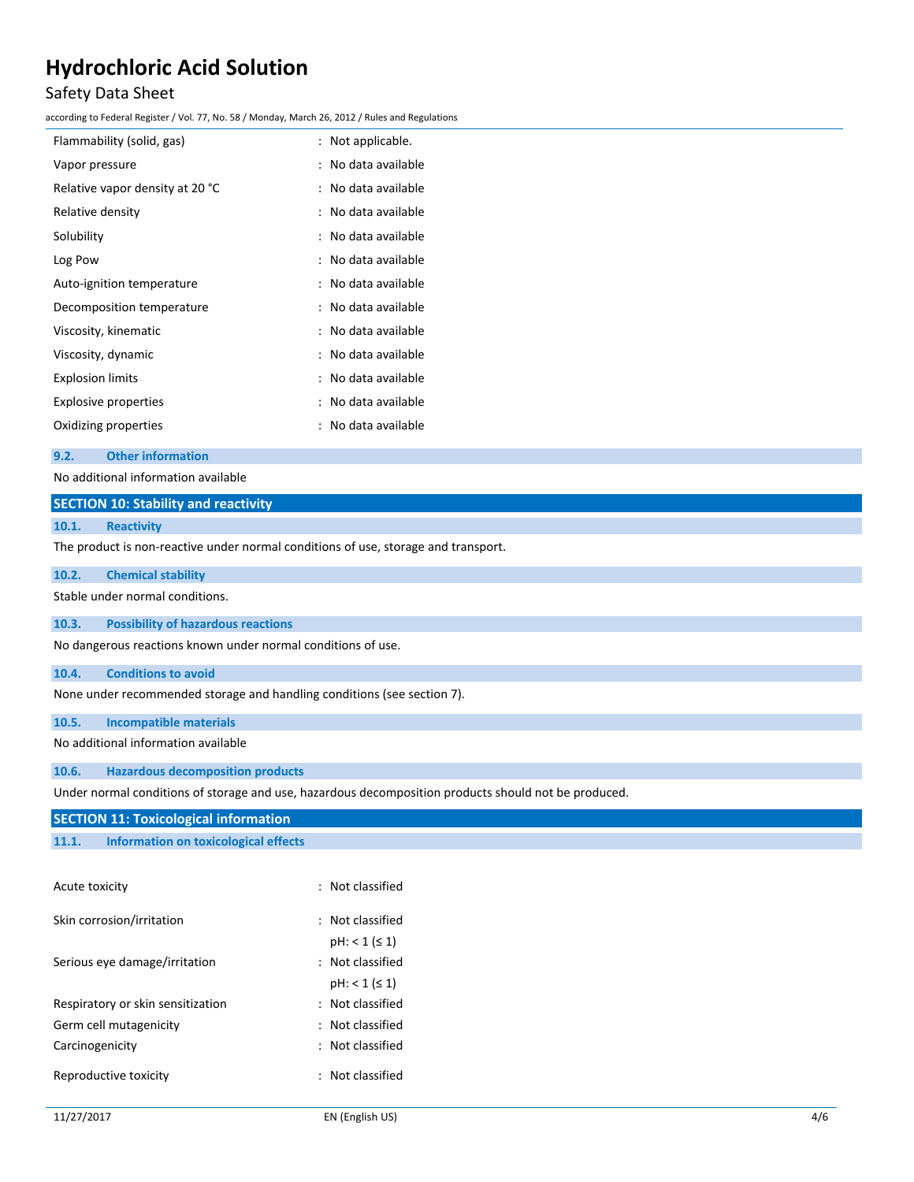## Safety Data Sheet

according to Federal Register / Vol. 77, No. 58 / Monday, March 26, 2012 / Rules and Regulations

| : Not applicable.   |
|---------------------|
| : No data available |
| : No data available |
| : No data available |
| : No data available |
| : No data available |
| : No data available |
| No data available   |
| : No data available |
| : No data available |
| : No data available |
| : No data available |
| No data available   |
|                     |

#### **9.2. Other information**

| 9.Z.                                                                               | <b>Other Information</b>                  |  |  |
|------------------------------------------------------------------------------------|-------------------------------------------|--|--|
|                                                                                    | No additional information available       |  |  |
| <b>SECTION 10: Stability and reactivity</b>                                        |                                           |  |  |
| 10.1.                                                                              | <b>Reactivity</b>                         |  |  |
| The product is non-reactive under normal conditions of use, storage and transport. |                                           |  |  |
| 10.2.                                                                              | <b>Chemical stability</b>                 |  |  |
| Stable under normal conditions.                                                    |                                           |  |  |
| 10.3.                                                                              | <b>Possibility of hazardous reactions</b> |  |  |

No dangerous reactions known under normal conditions of use.

#### **10.4. Conditions to avoid**

None under recommended storage and handling conditions (see section 7).

### **10.5. Incompatible materials**

No additional information available

#### **10.6. Hazardous decomposition products**

Under normal conditions of storage and use, hazardous decomposition products should not be produced.

### **SECTION 11: Toxicological information**

**11.1. Information on toxicological effects**

| Acute toxicity                    | $:$ Not classified  |
|-----------------------------------|---------------------|
| Skin corrosion/irritation         | $:$ Not classified  |
|                                   | $pH: < 1 ( \leq 1)$ |
| Serious eye damage/irritation     | $:$ Not classified  |
|                                   | $pH: < 1 (\leq 1)$  |
| Respiratory or skin sensitization | $:$ Not classified  |
| Germ cell mutagenicity            | $:$ Not classified  |
| Carcinogenicity                   | $:$ Not classified  |
| Reproductive toxicity             | : Not classified    |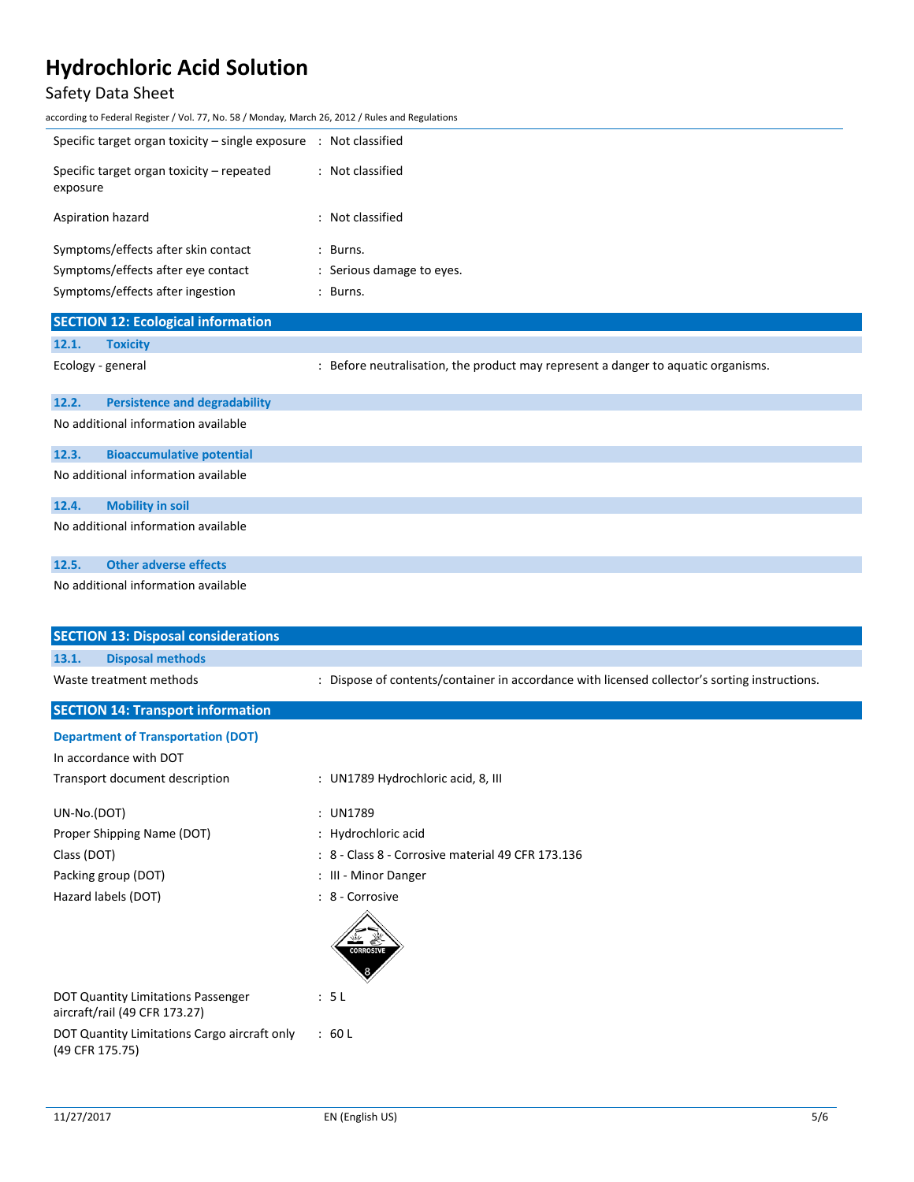## Safety Data Sheet

according to Federal Register / Vol. 77, No. 58 / Monday, March 26, 2012 / Rules and Regulations

| Specific target organ toxicity – single exposure $\therefore$ Not classified                                                                                                                                                                                                                                                    |                           |
|---------------------------------------------------------------------------------------------------------------------------------------------------------------------------------------------------------------------------------------------------------------------------------------------------------------------------------|---------------------------|
| Specific target organ toxicity – repeated<br>exposure                                                                                                                                                                                                                                                                           | : Not classified          |
| Aspiration hazard                                                                                                                                                                                                                                                                                                               | : Not classified          |
| Symptoms/effects after skin contact                                                                                                                                                                                                                                                                                             | : Burns.                  |
| Symptoms/effects after eye contact                                                                                                                                                                                                                                                                                              | : Serious damage to eyes. |
| Symptoms/effects after ingestion                                                                                                                                                                                                                                                                                                | : Burns.                  |
| $C = C$ $\mathbf{F}$ $\mathbf{F}$ $\mathbf{F}$ $\mathbf{F}$ $\mathbf{F}$ $\mathbf{F}$ $\mathbf{F}$ $\mathbf{F}$ $\mathbf{F}$ $\mathbf{F}$ $\mathbf{F}$ $\mathbf{F}$ $\mathbf{F}$ $\mathbf{F}$ $\mathbf{F}$ $\mathbf{F}$ $\mathbf{F}$ $\mathbf{F}$ $\mathbf{F}$ $\mathbf{F}$ $\mathbf{F}$ $\mathbf{F}$ $\mathbf{F}$ $\mathbf{F}$ |                           |

| <b>SECTION 12: Ecological information</b> |                                      |                                                                                   |  |
|-------------------------------------------|--------------------------------------|-----------------------------------------------------------------------------------|--|
| 12.1.                                     | <b>Toxicity</b>                      |                                                                                   |  |
|                                           | Ecology - general                    | : Before neutralisation, the product may represent a danger to aquatic organisms. |  |
| 12.2.                                     | <b>Persistence and degradability</b> |                                                                                   |  |
| No additional information available       |                                      |                                                                                   |  |
| 12.3.                                     | <b>Bioaccumulative potential</b>     |                                                                                   |  |
|                                           | No additional information available  |                                                                                   |  |
| 12.4.                                     | <b>Mobility in soil</b>              |                                                                                   |  |
|                                           | No additional information available  |                                                                                   |  |

### **12.5. Other adverse effects**

No additional information available

| <b>SECTION 13: Disposal considerations</b>                          |                                                                                               |
|---------------------------------------------------------------------|-----------------------------------------------------------------------------------------------|
| <b>Disposal methods</b><br>13.1.                                    |                                                                                               |
| Waste treatment methods                                             | : Dispose of contents/container in accordance with licensed collector's sorting instructions. |
| <b>SECTION 14: Transport information</b>                            |                                                                                               |
| <b>Department of Transportation (DOT)</b>                           |                                                                                               |
| In accordance with DOT                                              |                                                                                               |
| Transport document description                                      | : UN1789 Hydrochloric acid, 8, III                                                            |
| UN-No.(DOT)                                                         | : UN1789                                                                                      |
| Proper Shipping Name (DOT)                                          | : Hydrochloric acid                                                                           |
| Class (DOT)                                                         | : 8 - Class 8 - Corrosive material 49 CFR 173.136                                             |
| Packing group (DOT)                                                 | : III - Minor Danger                                                                          |
| Hazard labels (DOT)                                                 | : 8 - Corrosive                                                                               |
|                                                                     | <b>CORROSIVE</b>                                                                              |
| DOT Quantity Limitations Passenger<br>aircraft/rail (49 CFR 173.27) | : 5L                                                                                          |
| DOT Quantity Limitations Cargo aircraft only<br>(49 CFR 175.75)     | : 60L                                                                                         |